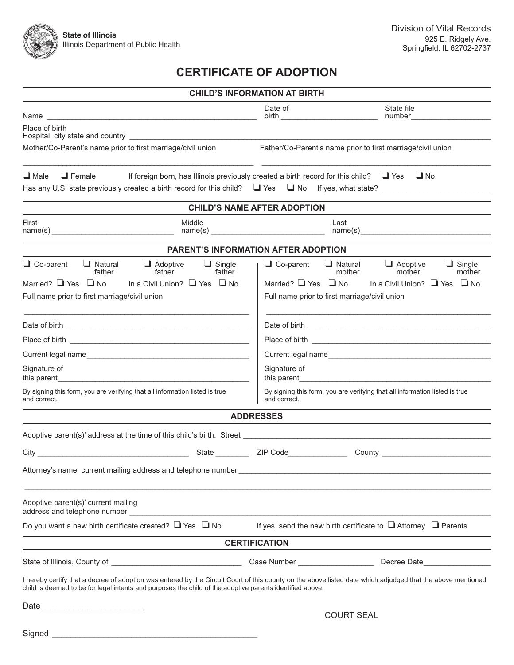

# **CERTIFICATE OF ADOPTION**

|                                                                                                                                |                                                                                                                                                                                                                                | <b>CHILD'S INFORMATION AT BIRTH</b>                                                         |                                                                                                                                                                   |  |
|--------------------------------------------------------------------------------------------------------------------------------|--------------------------------------------------------------------------------------------------------------------------------------------------------------------------------------------------------------------------------|---------------------------------------------------------------------------------------------|-------------------------------------------------------------------------------------------------------------------------------------------------------------------|--|
|                                                                                                                                |                                                                                                                                                                                                                                | Date of                                                                                     | State file                                                                                                                                                        |  |
| Place of birth                                                                                                                 |                                                                                                                                                                                                                                |                                                                                             |                                                                                                                                                                   |  |
| Mother/Co-Parent's name prior to first marriage/civil union                                                                    |                                                                                                                                                                                                                                | Father/Co-Parent's name prior to first marriage/civil union                                 |                                                                                                                                                                   |  |
| $\Box$ Female<br>$\Box$ Male                                                                                                   | If foreign born, has Illinois previously created a birth record for this child? $\Box$ Yes $\Box$ No                                                                                                                           |                                                                                             | Has any U.S. state previously created a birth record for this child? $\Box$ Yes $\Box$ No If yes, what state?                                                     |  |
| <b>CHILD'S NAME AFTER ADOPTION</b>                                                                                             |                                                                                                                                                                                                                                |                                                                                             |                                                                                                                                                                   |  |
| First<br>Middle                                                                                                                |                                                                                                                                                                                                                                | Last<br>name(s)                                                                             |                                                                                                                                                                   |  |
| PARENT'S INFORMATION AFTER ADOPTION                                                                                            |                                                                                                                                                                                                                                |                                                                                             |                                                                                                                                                                   |  |
| $\Box$ Co-parent<br>$\Box$ Natural<br>father<br>Married? $\Box$ Yes $\Box$ No<br>Full name prior to first marriage/civil union | $\Box$ Adoptive<br>$\Box$ Single<br>father<br>father<br>In a Civil Union? ■ Yes ■ No                                                                                                                                           | $\Box$ Co-parent<br>Married? $\Box$ Yes $\Box$ No                                           | $\Box$ Natural<br>$\Box$ Adoptive<br>$\Box$ Single<br>mother<br>mother<br>mother<br>In a Civil Union? ■ Yes ■ No<br>Full name prior to first marriage/civil union |  |
|                                                                                                                                |                                                                                                                                                                                                                                |                                                                                             |                                                                                                                                                                   |  |
|                                                                                                                                |                                                                                                                                                                                                                                |                                                                                             |                                                                                                                                                                   |  |
|                                                                                                                                |                                                                                                                                                                                                                                |                                                                                             |                                                                                                                                                                   |  |
| Signature of                                                                                                                   |                                                                                                                                                                                                                                | Signature of                                                                                |                                                                                                                                                                   |  |
| By signing this form, you are verifying that all information listed is true<br>and correct.                                    |                                                                                                                                                                                                                                | By signing this form, you are verifying that all information listed is true<br>and correct. |                                                                                                                                                                   |  |
|                                                                                                                                |                                                                                                                                                                                                                                | <b>ADDRESSES</b>                                                                            |                                                                                                                                                                   |  |
|                                                                                                                                |                                                                                                                                                                                                                                |                                                                                             |                                                                                                                                                                   |  |
|                                                                                                                                | State ZIP Code<br>City <u>City</u>                                                                                                                                                                                             |                                                                                             |                                                                                                                                                                   |  |
|                                                                                                                                |                                                                                                                                                                                                                                |                                                                                             |                                                                                                                                                                   |  |
| Adoptive parent(s)' current mailing                                                                                            | address and telephone number and the state of the state of the state of the state of the state of the state of the state of the state of the state of the state of the state of the state of the state of the state of the sta |                                                                                             |                                                                                                                                                                   |  |
| Do you want a new birth certificate created? $\Box$ Yes $\Box$ No                                                              |                                                                                                                                                                                                                                |                                                                                             | If yes, send the new birth certificate to $\Box$ Attorney $\Box$ Parents                                                                                          |  |
|                                                                                                                                |                                                                                                                                                                                                                                | <b>CERTIFICATION</b>                                                                        |                                                                                                                                                                   |  |
|                                                                                                                                |                                                                                                                                                                                                                                |                                                                                             |                                                                                                                                                                   |  |
|                                                                                                                                | child is deemed to be for legal intents and purposes the child of the adoptive parents identified above.                                                                                                                       |                                                                                             | I hereby certify that a decree of adoption was entered by the Circuit Court of this county on the above listed date which adjudged that the above mentioned       |  |
|                                                                                                                                |                                                                                                                                                                                                                                |                                                                                             |                                                                                                                                                                   |  |
|                                                                                                                                |                                                                                                                                                                                                                                | <b>COURT SEAL</b>                                                                           |                                                                                                                                                                   |  |
| Signed                                                                                                                         |                                                                                                                                                                                                                                |                                                                                             |                                                                                                                                                                   |  |